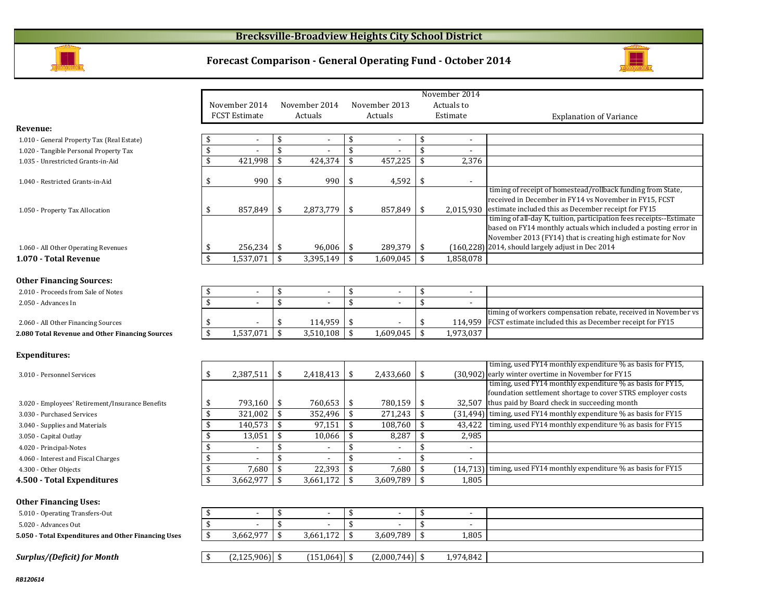#### **Brecksville-Broadview Heights City School District**





|                                                   |                           |                      |                    |                |                    |                          |                    | November 2014            |                                                                                                                            |
|---------------------------------------------------|---------------------------|----------------------|--------------------|----------------|--------------------|--------------------------|--------------------|--------------------------|----------------------------------------------------------------------------------------------------------------------------|
|                                                   |                           | November 2014        |                    | November 2014  |                    | November 2013            |                    | Actuals to               |                                                                                                                            |
|                                                   |                           | <b>FCST Estimate</b> |                    | Actuals        |                    | Actuals                  |                    | Estimate                 | <b>Explanation of Variance</b>                                                                                             |
| <b>Revenue:</b>                                   |                           |                      |                    |                |                    |                          |                    |                          |                                                                                                                            |
| 1.010 - General Property Tax (Real Estate)        | \$                        | $\blacksquare$       | \$                 | $\blacksquare$ | \$                 | $\blacksquare$           | \$                 | $\blacksquare$           |                                                                                                                            |
| 1.020 - Tangible Personal Property Tax            | \$                        |                      | \$                 |                | \$                 |                          | \$                 |                          |                                                                                                                            |
| 1.035 - Unrestricted Grants-in-Aid                | \$                        | 421,998              | \$                 | 424,374        | \$                 | 457,225                  | \$                 | 2,376                    |                                                                                                                            |
|                                                   |                           |                      |                    |                |                    |                          |                    |                          |                                                                                                                            |
| 1.040 - Restricted Grants-in-Aid                  | \$                        | 990                  | \$                 | 990            | \$                 | 4,592                    | \$                 |                          |                                                                                                                            |
|                                                   |                           |                      |                    |                |                    |                          |                    |                          | timing of receipt of homestead/rollback funding from State,                                                                |
|                                                   |                           |                      |                    |                |                    |                          |                    |                          | received in December in FY14 vs November in FY15, FCST                                                                     |
| 1.050 - Property Tax Allocation                   | \$                        | 857,849              | \$                 | 2,873,779      | \$                 | 857,849                  | \$                 | 2,015,930                | estimate included this as December receipt for FY15<br>timing of all-day K, tuition, participation fees receipts--Estimate |
|                                                   |                           |                      |                    |                |                    |                          |                    |                          | based on FY14 monthly actuals which included a posting error in                                                            |
|                                                   |                           |                      |                    |                |                    |                          |                    |                          | November 2013 (FY14) that is creating high estimate for Nov                                                                |
| 1.060 - All Other Operating Revenues              | \$                        | 256,234              | \$                 | 96,006         | \$                 | 289,379                  | \$                 |                          | $(160,228)$ 2014, should largely adjust in Dec 2014                                                                        |
| 1.070 - Total Revenue                             | $\mathbf{\hat{S}}$        | 1,537,071            | \$                 | 3,395,149      | $\mathfrak{s}$     | 1,609,045                | $\mathfrak{s}$     | 1,858,078                |                                                                                                                            |
|                                                   |                           |                      |                    |                |                    |                          |                    |                          |                                                                                                                            |
| <b>Other Financing Sources:</b>                   |                           |                      |                    |                |                    |                          |                    |                          |                                                                                                                            |
| 2.010 - Proceeds from Sale of Notes               | \$                        | $\blacksquare$       | \$                 |                | \$                 | $\overline{\phantom{a}}$ | \$                 | $\blacksquare$           |                                                                                                                            |
| 2.050 - Advances In                               | \$                        |                      | \$                 |                | \$                 | $\blacksquare$           | \$                 | $\overline{\phantom{a}}$ |                                                                                                                            |
|                                                   |                           |                      |                    |                |                    |                          |                    |                          | timing of workers compensation rebate, received in November vs                                                             |
| 2.060 - All Other Financing Sources               | \$                        |                      | \$                 | 114,959        | \$                 |                          | \$                 | 114,959                  | FCST estimate included this as December receipt for FY15                                                                   |
| 2.080 Total Revenue and Other Financing Sources   | $\boldsymbol{\mathsf{s}}$ | 1,537,071            | \$                 | 3,510,108      | \$                 | 1,609,045                | \$                 | 1,973,037                |                                                                                                                            |
|                                                   |                           |                      |                    |                |                    |                          |                    |                          |                                                                                                                            |
| <b>Expenditures:</b>                              |                           |                      |                    |                |                    |                          |                    |                          |                                                                                                                            |
|                                                   |                           |                      |                    |                |                    |                          |                    |                          | timing, used FY14 monthly expenditure % as basis for FY15,                                                                 |
| 3.010 - Personnel Services                        | \$                        | 2,387,511            | \$                 | 2,418,413      | \$                 | 2,433,660                | \$                 |                          | (30,902) early winter overtime in November for FY15                                                                        |
|                                                   |                           |                      |                    |                |                    |                          |                    |                          | timing, used FY14 monthly expenditure % as basis for FY15,                                                                 |
|                                                   |                           |                      |                    |                |                    |                          |                    |                          | foundation settlement shortage to cover STRS employer costs                                                                |
| 3.020 - Employees' Retirement/Insurance Benefits  | \$                        | 793,160              | \$                 | 760,653        | \$                 | 780,159                  | \$                 |                          | 32,507 thus paid by Board check in succeeding month                                                                        |
| 3.030 - Purchased Services                        | \$                        | 321,002              | \$                 | 352,496        | \$                 | 271,243                  | \$                 |                          | (31,494) timing, used FY14 monthly expenditure % as basis for FY15                                                         |
| 3.040 - Supplies and Materials                    | \$                        | 140,573              | \$                 | 97,151         | \$                 | 108,760                  | \$                 | 43,422                   | timing, used FY14 monthly expenditure % as basis for FY15                                                                  |
| 3.050 - Capital Outlay                            | \$                        | 13,051               | \$                 | 10,066         | \$                 | 8,287                    | \$                 | 2,985                    |                                                                                                                            |
| 4.020 - Principal-Notes                           | \$                        | $\sim$               | \$                 |                | $\mathbf{\hat{S}}$ | $\blacksquare$           | $\mathbf{\hat{S}}$ | $\sim$                   |                                                                                                                            |
| 4.060 - Interest and Fiscal Charges               | \$                        |                      | $\mathbf{\hat{S}}$ |                | $\mathbf{\hat{S}}$ |                          | $\mathbf{\hat{S}}$ |                          |                                                                                                                            |
| 4.300 - Other Objects                             | \$                        | 7,680                | \$                 | 22,393         | \$                 | 7,680                    | \$                 | (14, 713)                | timing, used FY14 monthly expenditure % as basis for FY15                                                                  |
| 4.500 - Total Expenditures                        | \$                        | 3,662,977            | \$                 | 3,661,172      | \$                 | 3,609,789                | \$                 | 1,805                    |                                                                                                                            |
|                                                   |                           |                      |                    |                |                    |                          |                    |                          |                                                                                                                            |
| <b>Other Financing Uses:</b>                      |                           |                      |                    |                |                    |                          |                    |                          |                                                                                                                            |
| 5.010 - Operating Transfers-Out                   | \$                        | $\mathbf{r}$         | \$                 | $\overline{a}$ | \$                 | $\overline{\phantom{a}}$ | \$                 | $\sim$                   |                                                                                                                            |
| 5.020 - Advances Out                              | \$                        |                      | \$                 |                | \$                 | $\overline{a}$           | \$                 | $\blacksquare$           |                                                                                                                            |
| 5.050 Total Expenditures and Other Financing Uses | \$                        | 3,662,977            | \$                 | 3,661,172      | \$                 | 3,609,789                | \$                 | 1,805                    |                                                                                                                            |
|                                                   |                           |                      |                    |                |                    |                          |                    |                          |                                                                                                                            |
| <b>Surplus/(Deficit) for Month</b>                | \$                        | (2, 125, 906)        | \$                 | $(151,064)$ \$ |                    | $(2,000,744)$ \$         |                    | 1,974,842                |                                                                                                                            |

Ē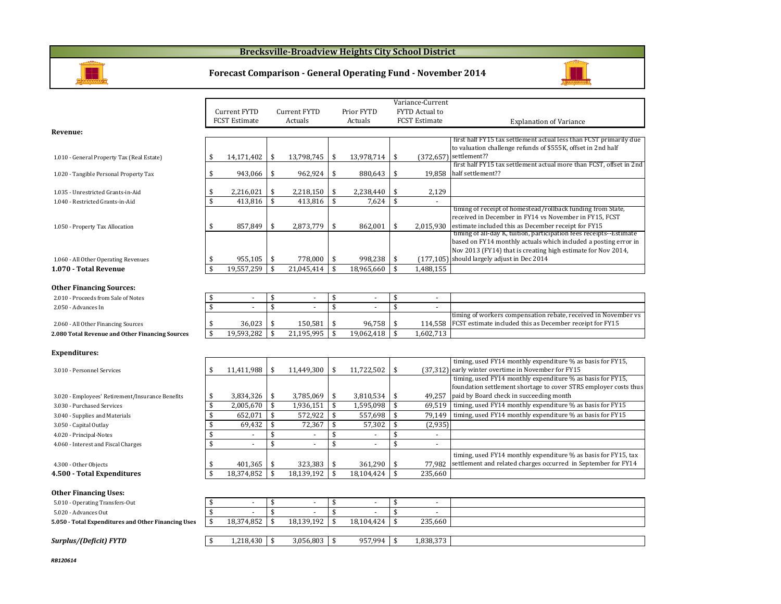#### **Brecksville-Broadview Heights City School District**



#### **Forecast Comparison - General Operating Fund - November 2014**



|                                                     |                    |                          |                    |                          |                    |                          |                    | Variance-Current     |                                                                                                                                 |
|-----------------------------------------------------|--------------------|--------------------------|--------------------|--------------------------|--------------------|--------------------------|--------------------|----------------------|---------------------------------------------------------------------------------------------------------------------------------|
|                                                     |                    | Current FYTD             |                    | Current FYTD             |                    | Prior FYTD               |                    | FYTD Actual to       |                                                                                                                                 |
|                                                     |                    |                          |                    |                          |                    |                          |                    |                      |                                                                                                                                 |
|                                                     |                    | <b>FCST Estimate</b>     |                    | Actuals                  |                    | Actuals                  |                    | <b>FCST Estimate</b> | <b>Explanation of Variance</b>                                                                                                  |
| Revenue:                                            |                    |                          |                    |                          |                    |                          |                    |                      |                                                                                                                                 |
|                                                     |                    |                          |                    |                          |                    |                          |                    |                      | first half FY15 tax settlement actual less than FCST primarily due                                                              |
|                                                     |                    |                          |                    |                          |                    |                          |                    |                      | to valuation challenge refunds of \$555K, offset in 2nd half                                                                    |
| 1.010 - General Property Tax (Real Estate)          | \$                 | 14,171,402               | \$                 | 13,798,745               | \$                 | 13,978,714               | \$                 |                      | (372,657) settlement??                                                                                                          |
|                                                     |                    |                          |                    |                          |                    |                          |                    |                      | first half FY15 tax settlement actual more than FCST, offset in 2nd                                                             |
| 1.020 - Tangible Personal Property Tax              | \$                 | 943,066                  | \$                 | 962,924                  | \$                 | 880,643                  | \$                 | 19,858               | half settlement??                                                                                                               |
|                                                     |                    |                          |                    |                          |                    |                          |                    |                      |                                                                                                                                 |
| 1.035 - Unrestricted Grants-in-Aid                  | \$                 | 2,216,021                | \$                 | 2,218,150                | \$                 | 2,238,440                | \$                 | 2,129                |                                                                                                                                 |
| 1.040 - Restricted Grants-in-Aid                    | \$                 | 413.816                  | \$                 | 413.816                  | \$                 | 7,624                    | $\mathbf{\hat{s}}$ | $\sim$               |                                                                                                                                 |
|                                                     |                    |                          |                    |                          |                    |                          |                    |                      | timing of receipt of homestead/rollback funding from State,                                                                     |
|                                                     |                    |                          |                    |                          |                    |                          |                    |                      | received in December in FY14 vs November in FY15, FCST<br>estimate included this as December receipt for FY15                   |
| 1.050 - Property Tax Allocation                     | \$                 | 857,849                  | \$                 | 2,873,779                | \$                 | 862,001                  | \$                 | 2,015,930            | timing of all-day K, tuition, participation fees receipts--Estimate                                                             |
|                                                     |                    |                          |                    |                          |                    |                          |                    |                      | based on FY14 monthly actuals which included a posting error in                                                                 |
|                                                     |                    |                          |                    |                          |                    |                          |                    |                      | Nov 2013 (FY14) that is creating high estimate for Nov 2014,                                                                    |
| 1.060 - All Other Operating Revenues                | \$                 | 955,105                  | \$                 | 778,000                  | \$                 | 998,238                  | \$                 |                      | $(177, 105)$ should largely adjust in Dec 2014                                                                                  |
| 1.070 - Total Revenue                               | $\mathbf{\hat{S}}$ | 19.557.259               | $\mathbf{\hat{s}}$ | 21.045.414               | $\mathbf{\hat{S}}$ | 18.965.660               | $\mathbf{\hat{s}}$ | 1.488.155            |                                                                                                                                 |
|                                                     |                    |                          |                    |                          |                    |                          |                    |                      |                                                                                                                                 |
|                                                     |                    |                          |                    |                          |                    |                          |                    |                      |                                                                                                                                 |
| <b>Other Financing Sources:</b>                     |                    |                          |                    |                          |                    |                          |                    |                      |                                                                                                                                 |
| 2.010 - Proceeds from Sale of Notes                 | \$                 | $\sim$                   | \$                 | $\overline{\phantom{a}}$ | \$                 | $\overline{\phantom{a}}$ | \$                 | $\sim$               |                                                                                                                                 |
| 2.050 - Advances In                                 | \$                 |                          | \$                 |                          | \$                 | $\sim$                   | \$                 | $\sim$               |                                                                                                                                 |
|                                                     |                    |                          |                    |                          |                    |                          |                    |                      | timing of workers compensation rebate, received in November vs                                                                  |
| 2.060 - All Other Financing Sources                 | \$                 | 36,023                   | \$                 | 150,581                  | \$                 | 96,758                   | \$                 | 114,558              | FCST estimate included this as December receipt for FY15                                                                        |
| 2.080 Total Revenue and Other Financing Sources     | $\mathsf{\$}$      | 19,593,282               | \$                 | 21,195,995               | \$                 | 19,062,418               | $\mathbf{\hat{s}}$ | 1.602.713            |                                                                                                                                 |
|                                                     |                    |                          |                    |                          |                    |                          |                    |                      |                                                                                                                                 |
| <b>Expenditures:</b>                                |                    |                          |                    |                          |                    |                          |                    |                      |                                                                                                                                 |
|                                                     |                    |                          |                    |                          |                    |                          |                    |                      | timing, used FY14 monthly expenditure % as basis for FY15,                                                                      |
| 3.010 - Personnel Services                          | \$                 | 11,411,988               | \$                 | 11,449,300               | \$                 | 11,722,502               | \$                 |                      | (37,312) early winter overtime in November for FY15                                                                             |
|                                                     |                    |                          |                    |                          |                    |                          |                    |                      | timing, used FY14 monthly expenditure % as basis for FY15,                                                                      |
|                                                     |                    |                          |                    |                          |                    |                          |                    |                      | foundation settlement shortage to cover STRS employer costs thus                                                                |
| 3.020 - Employees' Retirement/Insurance Benefits    | \$                 | 3,834,326                | \$                 | 3,785,069                | \$                 | 3,810,534                | \$                 | 49,257               | paid by Board check in succeeding month                                                                                         |
| 3.030 - Purchased Services                          | \$                 | 2,005,670                | \$                 | 1,936,151                | \$                 | 1,595,098                | \$                 | 69.519               | timing, used FY14 monthly expenditure % as basis for FY15                                                                       |
| 3.040 - Supplies and Materials                      | \$                 | 652,071                  | \$                 | 572,922                  | \$                 | 557,698                  | \$                 | 79.149               | timing, used FY14 monthly expenditure % as basis for FY15                                                                       |
| 3.050 - Capital Outlay                              | \$                 | 69,432                   | \$                 | 72,367                   | \$                 | 57,302                   | \$                 | (2,935)              |                                                                                                                                 |
| 4.020 - Principal-Notes                             | \$                 | $\blacksquare$           | \$                 | $\sim$                   | \$                 | $\blacksquare$           | \$                 | $\sim$               |                                                                                                                                 |
| 4.060 - Interest and Fiscal Charges                 | \$                 | $\overline{\phantom{a}}$ | \$                 | $\sim$                   | \$                 | $\omega$                 | \$                 | $\mathbf{r}$         |                                                                                                                                 |
|                                                     |                    |                          |                    |                          |                    |                          |                    |                      |                                                                                                                                 |
|                                                     |                    |                          |                    |                          |                    |                          |                    |                      | timing, used FY14 monthly expenditure % as basis for FY15, tax<br>settlement and related charges occurred in September for FY14 |
| 4.300 - Other Objects                               | \$                 | 401,365                  | \$                 | 323,383                  | \$                 | 361,290                  | \$                 | 77,982               |                                                                                                                                 |
| 4.500 - Total Expenditures                          | $\mathbf{\hat{S}}$ | 18.374.852               | $\mathbf{\hat{S}}$ | 18.139.192               | $\mathbf{\hat{s}}$ | 18.104.424               | $\mathbf{\hat{s}}$ | 235.660              |                                                                                                                                 |
|                                                     |                    |                          |                    |                          |                    |                          |                    |                      |                                                                                                                                 |
| <b>Other Financing Uses:</b>                        |                    |                          |                    |                          |                    |                          |                    |                      |                                                                                                                                 |
| 5.010 - Operating Transfers-Out                     | \$                 | $\blacksquare$           | \$                 | $\sim$                   | \$                 | $\sim$                   | \$                 | $\sim$               |                                                                                                                                 |
| 5.020 - Advances Out                                | $\mathbf{\hat{S}}$ |                          | $\mathbf{\hat{s}}$ |                          | \$                 |                          | \$                 |                      |                                                                                                                                 |
| 5.050 - Total Expenditures and Other Financing Uses | \$                 | 18,374,852               | \$                 | 18,139,192               | \$                 | 18,104,424               | \$                 | 235,660              |                                                                                                                                 |
|                                                     |                    |                          |                    |                          |                    |                          |                    |                      |                                                                                                                                 |
| Surplus/(Deficit) FYTD                              | \$                 | 1,218,430                | \$                 | 3,056,803                | -\$                | 957,994                  | \$                 | 1,838,373            |                                                                                                                                 |
|                                                     |                    |                          |                    |                          |                    |                          |                    |                      |                                                                                                                                 |

*RB120614*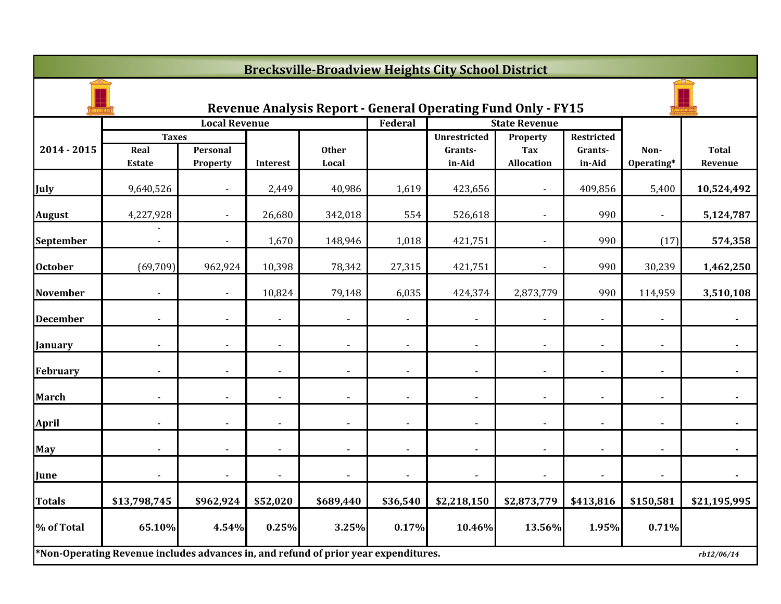|                 |                                                                                     |                          |                |                |                          | <b>Brecksville-Broadview Heights City School District</b>           |                   |                          |                |                |
|-----------------|-------------------------------------------------------------------------------------|--------------------------|----------------|----------------|--------------------------|---------------------------------------------------------------------|-------------------|--------------------------|----------------|----------------|
|                 |                                                                                     |                          |                |                |                          | <b>Revenue Analysis Report - General Operating Fund Only - FY15</b> |                   |                          |                |                |
|                 |                                                                                     | <b>Local Revenue</b>     |                |                | Federal                  | <b>State Revenue</b>                                                |                   |                          |                |                |
|                 | <b>Taxes</b>                                                                        |                          |                |                |                          | <b>Unrestricted</b>                                                 | Property          | <b>Restricted</b>        |                |                |
| 2014 - 2015     | Real                                                                                | Personal                 |                | <b>Other</b>   |                          | Grants-                                                             | Tax               | Grants-                  | Non-           | <b>Total</b>   |
|                 | <b>Estate</b>                                                                       | Property                 | Interest       | Local          |                          | in-Aid                                                              | <b>Allocation</b> | in-Aid                   | Operating*     | Revenue        |
| July            | 9,640,526                                                                           |                          | 2,449          | 40,986         | 1,619                    | 423,656                                                             |                   | 409,856                  | 5,400          | 10,524,492     |
| <b>August</b>   | 4,227,928                                                                           |                          | 26,680         | 342,018        | 554                      | 526,618                                                             |                   | 990                      |                | 5,124,787      |
| September       |                                                                                     | $\overline{\phantom{a}}$ | 1,670          | 148,946        | 1,018                    | 421,751                                                             | $\blacksquare$    | 990                      | (17)           | 574,358        |
| <b>October</b>  | (69, 709)                                                                           | 962,924                  | 10,398         | 78,342         | 27,315                   | 421,751                                                             | $\blacksquare$    | 990                      | 30,239         | 1,462,250      |
| <b>November</b> |                                                                                     |                          | 10,824         | 79,148         | 6,035                    | 424,374                                                             | 2,873,779         | 990                      | 114,959        | 3,510,108      |
| <b>December</b> |                                                                                     |                          |                |                |                          |                                                                     |                   |                          |                |                |
| January         |                                                                                     |                          |                |                | $\overline{\phantom{a}}$ |                                                                     |                   | $\blacksquare$           |                |                |
| <b>February</b> |                                                                                     |                          |                |                |                          |                                                                     |                   |                          |                |                |
| <b>March</b>    | $\blacksquare$                                                                      | $\blacksquare$           | $\blacksquare$ | $\blacksquare$ | $\overline{\phantom{a}}$ | $\blacksquare$                                                      | $\blacksquare$    | $\overline{\phantom{a}}$ | $\blacksquare$ | $\blacksquare$ |
| <b>April</b>    |                                                                                     |                          |                |                |                          |                                                                     |                   |                          |                |                |
| <b>May</b>      |                                                                                     |                          |                |                |                          |                                                                     |                   |                          |                |                |
| June            |                                                                                     |                          |                |                | $\blacksquare$           |                                                                     |                   |                          |                |                |
| <b>Totals</b>   | \$13,798,745                                                                        | \$962,924                | \$52,020       | \$689,440      | \$36,540                 | \$2,218,150                                                         | \$2,873,779       | \$413,816                | \$150,581      | \$21,195,995   |
| % of Total      | 65.10%                                                                              | 4.54%                    | 0.25%          | 3.25%          | 0.17%                    | 10.46%                                                              | 13.56%            | 1.95%                    | 0.71%          |                |
|                 | *Non-Operating Revenue includes advances in, and refund of prior year expenditures. |                          |                |                |                          |                                                                     |                   |                          |                | rb12/06/14     |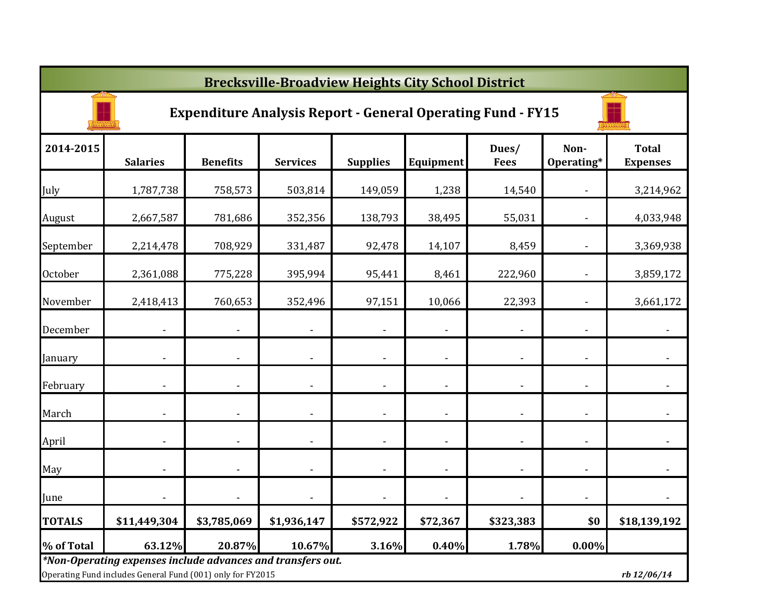|                | <b>Brecksville-Broadview Heights City School District</b>                                                                 |                 |                 |                 |                          |                      |                    |                                 |  |  |  |  |
|----------------|---------------------------------------------------------------------------------------------------------------------------|-----------------|-----------------|-----------------|--------------------------|----------------------|--------------------|---------------------------------|--|--|--|--|
|                | <b>Expenditure Analysis Report - General Operating Fund - FY15</b>                                                        |                 |                 |                 |                          |                      |                    |                                 |  |  |  |  |
| 2014-2015      | <b>Salaries</b>                                                                                                           | <b>Benefits</b> | <b>Services</b> | <b>Supplies</b> | Equipment                | Dues/<br><b>Fees</b> | Non-<br>Operating* | <b>Total</b><br><b>Expenses</b> |  |  |  |  |
| July           | 1,787,738                                                                                                                 | 758,573         | 503,814         | 149,059         | 1,238                    | 14,540               |                    | 3,214,962                       |  |  |  |  |
| August         | 2,667,587                                                                                                                 | 781,686         | 352,356         | 138,793         | 38,495                   | 55,031               |                    | 4,033,948                       |  |  |  |  |
| September      | 2,214,478                                                                                                                 | 708,929         | 331,487         | 92,478          | 14,107                   | 8,459                |                    | 3,369,938                       |  |  |  |  |
| <b>October</b> | 2,361,088                                                                                                                 | 775,228         | 395,994         | 95,441          | 8,461                    | 222,960              |                    | 3,859,172                       |  |  |  |  |
| November       | 2,418,413                                                                                                                 | 760,653         | 352,496         | 97,151          | 10,066                   | 22,393               |                    | 3,661,172                       |  |  |  |  |
| December       |                                                                                                                           |                 |                 |                 |                          |                      |                    |                                 |  |  |  |  |
| January        |                                                                                                                           |                 |                 |                 |                          |                      |                    |                                 |  |  |  |  |
| February       |                                                                                                                           |                 |                 |                 |                          |                      |                    |                                 |  |  |  |  |
| March          |                                                                                                                           |                 |                 |                 |                          |                      |                    |                                 |  |  |  |  |
| April          |                                                                                                                           |                 |                 |                 | $\overline{\phantom{a}}$ |                      |                    |                                 |  |  |  |  |
| May            |                                                                                                                           |                 |                 |                 | $\overline{\phantom{a}}$ | $\blacksquare$       | $\blacksquare$     |                                 |  |  |  |  |
| June           |                                                                                                                           |                 |                 |                 | $\overline{\phantom{a}}$ | $\blacksquare$       | $\blacksquare$     |                                 |  |  |  |  |
| <b>TOTALS</b>  | \$11,449,304                                                                                                              | \$3,785,069     | \$1,936,147     | \$572,922       | \$72,367                 | \$323,383            | \$0                | \$18,139,192                    |  |  |  |  |
| % of Total     | 63.12%                                                                                                                    | 20.87%          | 10.67%          | 3.16%           | 0.40%                    | 1.78%                | 0.00%              |                                 |  |  |  |  |
|                | *Non-Operating expenses include advances and transfers out.<br>Operating Fund includes General Fund (001) only for FY2015 |                 |                 |                 |                          |                      |                    | rb 12/06/14                     |  |  |  |  |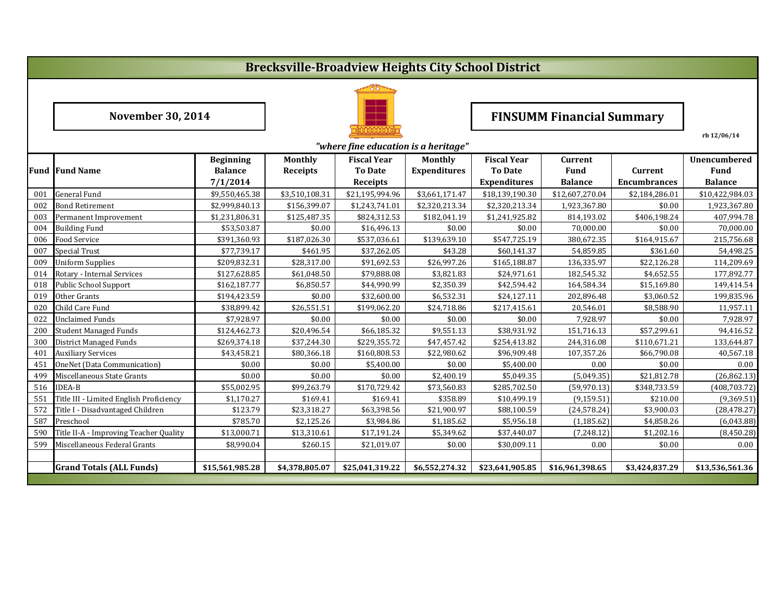## **Brecksville-Broadview Heights City School District**



**November 30, 2014**

# **FINSUMM Financial Summary**

**rb 12/06/14**

|     | "where fine education is a heritage"    |                  |                 |                    |                     |                     |                 |                     |                 |  |
|-----|-----------------------------------------|------------------|-----------------|--------------------|---------------------|---------------------|-----------------|---------------------|-----------------|--|
|     |                                         | <b>Beginning</b> | <b>Monthly</b>  | <b>Fiscal Year</b> | <b>Monthly</b>      | <b>Fiscal Year</b>  | <b>Current</b>  |                     | Unencumbered    |  |
|     | <b>Fund Fund Name</b>                   | <b>Balance</b>   | <b>Receipts</b> | <b>To Date</b>     | <b>Expenditures</b> | <b>To Date</b>      | <b>Fund</b>     | <b>Current</b>      | Fund            |  |
|     |                                         | 7/1/2014         |                 | <b>Receipts</b>    |                     | <b>Expenditures</b> | <b>Balance</b>  | <b>Encumbrances</b> | <b>Balance</b>  |  |
| 001 | <b>General Fund</b>                     | \$9,550,465.38   | \$3,510,108.31  | \$21,195,994.96    | \$3,661,171.47      | \$18,139,190.30     | \$12,607,270.04 | \$2,184,286.01      | \$10,422,984.03 |  |
| 002 | <b>Bond Retirement</b>                  | \$2,999,840.13   | \$156,399.07    | \$1,243,741.01     | \$2,320,213.34      | \$2,320,213.34      | 1,923,367.80    | \$0.00              | 1,923,367.80    |  |
| 003 | Permanent Improvement                   | \$1,231,806.31   | \$125,487.35    | \$824,312.53       | \$182,041.19        | \$1,241,925.82      | 814,193.02      | \$406,198.24        | 407,994.78      |  |
| 004 | <b>Building Fund</b>                    | \$53,503.87      | \$0.00          | \$16,496.13        | \$0.00              | \$0.00              | 70,000.00       | \$0.00              | 70,000.00       |  |
| 006 | Food Service                            | \$391,360.93     | \$187,026.30    | \$537,036.61       | \$139,639.10        | \$547,725.19        | 380,672.35      | \$164,915.67        | 215,756.68      |  |
| 007 | <b>Special Trust</b>                    | \$77,739.17      | \$461.95        | \$37,262.05        | \$43.28             | \$60,141.37         | 54,859.85       | \$361.60            | 54,498.25       |  |
| 009 | Uniform Supplies                        | \$209,832.31     | \$28,317.00     | \$91,692.53        | \$26,997.26         | \$165,188.87        | 136,335.97      | \$22,126.28         | 114,209.69      |  |
| 014 | Rotary - Internal Services              | \$127,628.85     | \$61,048.50     | \$79,888.08        | \$3,821.83          | \$24,971.61         | 182,545.32      | \$4,652.55          | 177,892.77      |  |
| 018 | Public School Support                   | \$162,187.77     | \$6,850.57      | \$44,990.99        | \$2,350.39          | \$42,594.42         | 164,584.34      | \$15,169.80         | 149,414.54      |  |
| 019 | Other Grants                            | \$194,423.59     | \$0.00          | \$32,600.00        | \$6,532.31          | \$24,127.11         | 202,896.48      | \$3,060.52          | 199,835.96      |  |
| 020 | Child Care Fund                         | \$38,899.42      | \$26,551.51     | \$199,062.20       | \$24,718.86         | \$217,415.61        | 20,546.01       | \$8,588.90          | 11,957.11       |  |
| 022 | <b>Unclaimed Funds</b>                  | \$7,928.97       | \$0.00          | \$0.00             | \$0.00              | \$0.00              | 7,928.97        | \$0.00              | 7,928.97        |  |
| 200 | <b>Student Managed Funds</b>            | \$124,462.73     | \$20,496.54     | \$66,185.32        | \$9,551.13          | \$38,931.92         | 151,716.13      | \$57,299.61         | 94,416.52       |  |
| 300 | <b>District Managed Funds</b>           | \$269,374.18     | \$37,244.30     | \$229,355.72       | \$47,457.42         | \$254,413.82        | 244,316.08      | \$110,671.21        | 133,644.87      |  |
| 401 | <b>Auxiliary Services</b>               | \$43,458.21      | \$80,366.18     | \$160,808.53       | \$22,980.62         | \$96,909.48         | 107,357.26      | \$66,790.08         | 40,567.18       |  |
| 451 | OneNet (Data Communication)             | \$0.00           | \$0.00          | \$5,400.00         | \$0.00              | \$5,400.00          | 0.00            | \$0.00              | 0.00            |  |
| 499 | Miscellaneous State Grants              | \$0.00           | \$0.00          | \$0.00             | \$2,400.19          | \$5,049.35          | (5,049.35)      | \$21,812.78         | (26, 862.13)    |  |
| 516 | <b>IDEA-B</b>                           | \$55,002.95      | \$99,263.79     | \$170,729.42       | \$73,560.83         | \$285,702.50        | (59, 970.13)    | \$348,733.59        | (408, 703.72)   |  |
| 551 | Title III - Limited English Proficiency | \$1.170.27       | \$169.41        | \$169.41           | \$358.89            | \$10,499.19         | (9, 159.51)     | \$210.00            | (9,369.51)      |  |
| 572 | Title I - Disadvantaged Children        | \$123.79         | \$23,318.27     | \$63,398.56        | \$21,900.97         | \$88,100.59         | (24, 578.24)    | \$3,900.03          | (28, 478.27)    |  |
| 587 | Preschool                               | \$785.70         | \$2,125.26      | \$3,984.86         | \$1,185.62          | \$5,956.18          | (1, 185.62)     | \$4,858.26          | (6,043.88)      |  |
| 590 | Title II-A - Improving Teacher Quality  | \$13,000.71      | \$13,310.61     | \$17,191.24        | \$5,349.62          | \$37,440.07         | (7,248.12)      | \$1,202.16          | (8,450.28)      |  |
| 599 | Miscellaneous Federal Grants            | \$8,990.04       | \$260.15        | \$21,019.07        | \$0.00              | \$30,009.11         | 0.00            | \$0.00              | 0.00            |  |
|     |                                         |                  |                 |                    |                     |                     |                 |                     |                 |  |
|     | <b>Grand Totals (ALL Funds)</b>         | \$15,561,985.28  | \$4,378,805.07  | \$25,041,319.22    | \$6,552,274.32      | \$23,641,905.85     | \$16,961,398.65 | \$3,424,837.29      | \$13,536,561.36 |  |
|     |                                         |                  |                 |                    |                     |                     |                 |                     |                 |  |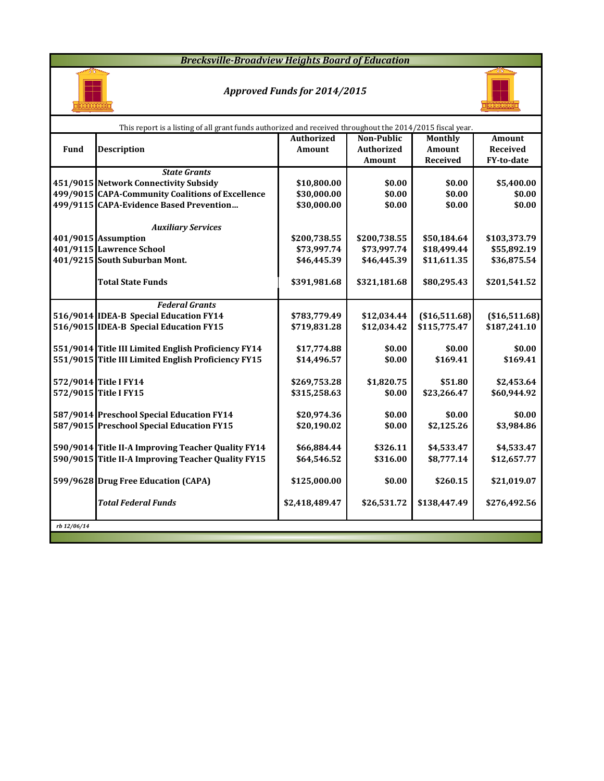*Brecksville-Broadview Heights Board of Education*



#### *Approved Funds for 2014/2015*



|             | This report is a listing of all grant funds authorized and received throughout the 2014/2015 fiscal year. |                   |                   |                |                 |
|-------------|-----------------------------------------------------------------------------------------------------------|-------------------|-------------------|----------------|-----------------|
|             |                                                                                                           | <b>Authorized</b> | <b>Non-Public</b> | Monthly        | Amount          |
| Fund        | <b>Description</b>                                                                                        | <b>Amount</b>     | <b>Authorized</b> | <b>Amount</b>  | <b>Received</b> |
|             |                                                                                                           |                   | Amount            | Received       | FY-to-date      |
|             | <b>State Grants</b>                                                                                       |                   |                   |                |                 |
|             | 451/9015 Network Connectivity Subsidy                                                                     | \$10,800.00       | \$0.00            | \$0.00         | \$5,400.00      |
|             | 499/9015 CAPA-Community Coalitions of Excellence                                                          | \$30,000.00       | \$0.00            | \$0.00         | \$0.00          |
|             | 499/9115 CAPA-Evidence Based Prevention                                                                   | \$30,000.00       | \$0.00            | \$0.00         | \$0.00          |
|             |                                                                                                           |                   |                   |                |                 |
|             | <b>Auxiliary Services</b>                                                                                 |                   |                   |                |                 |
|             | 401/9015 Assumption                                                                                       | \$200,738.55      | \$200,738.55      | \$50,184.64    | \$103,373.79    |
|             | 401/9115 Lawrence School                                                                                  | \$73,997.74       | \$73,997.74       | \$18,499.44    | \$55,892.19     |
|             | 401/9215 South Suburban Mont.                                                                             | \$46,445.39       | \$46,445.39       | \$11,611.35    | \$36,875.54     |
|             |                                                                                                           |                   |                   |                |                 |
|             | <b>Total State Funds</b>                                                                                  | \$391,981.68      | \$321,181.68      | \$80,295.43    | \$201,541.52    |
|             | <b>Federal Grants</b>                                                                                     |                   |                   |                |                 |
|             | 516/9014 IDEA-B Special Education FY14                                                                    | \$783,779.49      | \$12,034.44       | ( \$16,511.68) | (\$16,511.68)   |
|             | 516/9015 IDEA-B Special Education FY15                                                                    | \$719,831.28      | \$12,034.42       | \$115,775.47   | \$187,241.10    |
|             |                                                                                                           |                   |                   |                |                 |
|             | 551/9014 Title III Limited English Proficiency FY14                                                       | \$17,774.88       | \$0.00            | \$0.00         | \$0.00          |
|             | 551/9015 Title III Limited English Proficiency FY15                                                       | \$14,496.57       | \$0.00            | \$169.41       | \$169.41        |
|             |                                                                                                           |                   |                   |                |                 |
|             | 572/9014 Title I FY14                                                                                     | \$269,753.28      | \$1,820.75        | \$51.80        | \$2,453.64      |
|             | 572/9015 Title I FY15                                                                                     | \$315,258.63      | \$0.00            | \$23,266.47    | \$60,944.92     |
|             |                                                                                                           |                   |                   |                |                 |
|             | 587/9014 Preschool Special Education FY14                                                                 | \$20,974.36       | \$0.00            | \$0.00         | \$0.00          |
|             | 587/9015 Preschool Special Education FY15                                                                 | \$20,190.02       | \$0.00            | \$2,125.26     | \$3,984.86      |
|             |                                                                                                           |                   |                   |                |                 |
|             | 590/9014 Title II-A Improving Teacher Quality FY14                                                        | \$66,884.44       | \$326.11          | \$4,533.47     | \$4,533.47      |
|             | 590/9015 Title II-A Improving Teacher Quality FY15                                                        | \$64,546.52       | \$316.00          | \$8,777.14     | \$12,657.77     |
|             | 599/9628 Drug Free Education (CAPA)                                                                       | \$125,000.00      | \$0.00            | \$260.15       | \$21,019.07     |
|             |                                                                                                           |                   |                   |                |                 |
|             | <b>Total Federal Funds</b>                                                                                | \$2,418,489.47    | \$26,531.72       | \$138,447.49   | \$276,492.56    |
|             |                                                                                                           |                   |                   |                |                 |
| rb 12/06/14 |                                                                                                           |                   |                   |                |                 |
|             |                                                                                                           |                   |                   |                |                 |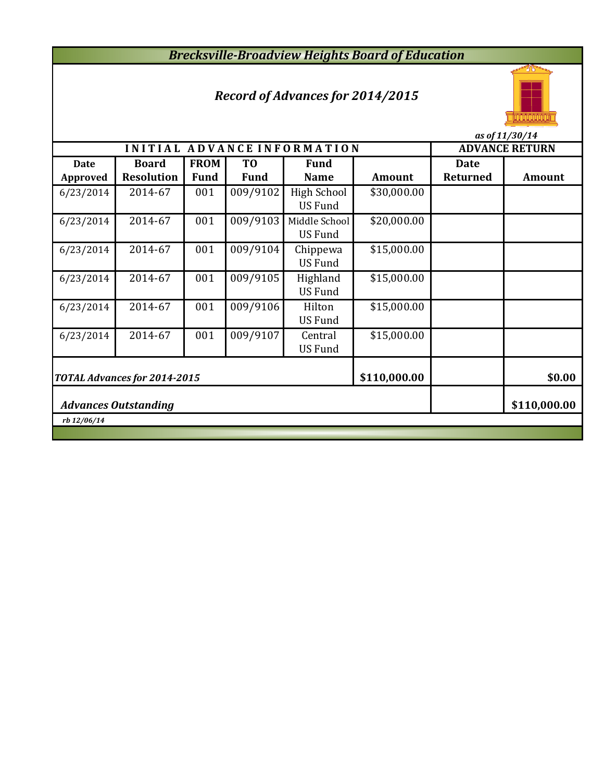# *Brecksville-Broadview Heights Board of Education*

## *Record of Advances for 2014/2015*



|                                |                                   |                            | as of 11/30/14                |                                 |               |                                |                       |
|--------------------------------|-----------------------------------|----------------------------|-------------------------------|---------------------------------|---------------|--------------------------------|-----------------------|
|                                |                                   |                            |                               | INITIAL ADVANCE INFORMATION     |               |                                | <b>ADVANCE RETURN</b> |
| <b>Date</b><br><b>Approved</b> | <b>Board</b><br><b>Resolution</b> | <b>FROM</b><br><b>Fund</b> | T <sub>0</sub><br><b>Fund</b> | <b>Fund</b><br><b>Name</b>      | <b>Amount</b> | <b>Date</b><br><b>Returned</b> | <b>Amount</b>         |
| 6/23/2014                      | 2014-67                           | 001                        | 009/9102                      | High School<br><b>US Fund</b>   | \$30,000.00   |                                |                       |
| 6/23/2014                      | 2014-67                           | 001                        | 009/9103                      | Middle School<br><b>US Fund</b> | \$20,000.00   |                                |                       |
| 6/23/2014                      | 2014-67                           | 001                        | 009/9104                      | Chippewa<br><b>US Fund</b>      | \$15,000.00   |                                |                       |
| 6/23/2014                      | 2014-67                           | 001                        | 009/9105                      | Highland<br><b>US Fund</b>      | \$15,000.00   |                                |                       |
| 6/23/2014                      | 2014-67                           | 001                        | 009/9106                      | Hilton<br><b>US Fund</b>        | \$15,000.00   |                                |                       |
| 6/23/2014                      | 2014-67                           | 001                        | 009/9107                      | Central<br><b>US Fund</b>       | \$15,000.00   |                                |                       |
|                                | TOTAL Advances for 2014-2015      | \$110,000.00               |                               | \$0.00                          |               |                                |                       |
|                                | <b>Advances Outstanding</b>       |                            | \$110,000.00                  |                                 |               |                                |                       |
| rb 12/06/14                    |                                   |                            |                               |                                 |               |                                |                       |
|                                |                                   |                            |                               |                                 |               |                                |                       |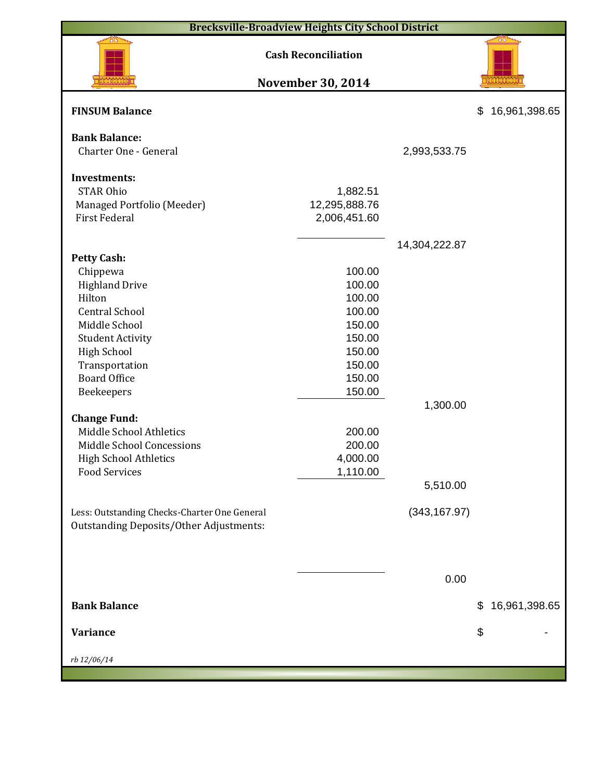| <b>Brecksville-Broadview Heights City School District</b>                                                                                                                                                                                  |                                                                                                  |                           |                     |
|--------------------------------------------------------------------------------------------------------------------------------------------------------------------------------------------------------------------------------------------|--------------------------------------------------------------------------------------------------|---------------------------|---------------------|
|                                                                                                                                                                                                                                            | <b>Cash Reconciliation</b><br><b>November 30, 2014</b>                                           |                           |                     |
| <b>FINSUM Balance</b>                                                                                                                                                                                                                      |                                                                                                  |                           | \$<br>16,961,398.65 |
| <b>Bank Balance:</b><br>Charter One - General                                                                                                                                                                                              |                                                                                                  | 2,993,533.75              |                     |
| <b>Investments:</b><br><b>STAR Ohio</b><br>Managed Portfolio (Meeder)<br><b>First Federal</b>                                                                                                                                              | 1,882.51<br>12,295,888.76<br>2,006,451.60                                                        |                           |                     |
| <b>Petty Cash:</b><br>Chippewa<br><b>Highland Drive</b><br>Hilton<br><b>Central School</b><br>Middle School<br><b>Student Activity</b><br><b>High School</b><br>Transportation<br><b>Board Office</b><br>Beekeepers<br><b>Change Fund:</b> | 100.00<br>100.00<br>100.00<br>100.00<br>150.00<br>150.00<br>150.00<br>150.00<br>150.00<br>150.00 | 14,304,222.87<br>1,300.00 |                     |
| Middle School Athletics<br>Middle School Concessions<br><b>High School Athletics</b><br><b>Food Services</b><br>Less: Outstanding Checks-Charter One General<br><b>Outstanding Deposits/Other Adjustments:</b>                             | 200.00<br>200.00<br>4,000.00<br>1,110.00                                                         | 5,510.00<br>(343, 167.97) |                     |
| <b>Bank Balance</b>                                                                                                                                                                                                                        |                                                                                                  | 0.00                      | 16,961,398.65<br>\$ |
| Variance<br>rb 12/06/14                                                                                                                                                                                                                    |                                                                                                  |                           | \$                  |
|                                                                                                                                                                                                                                            |                                                                                                  |                           |                     |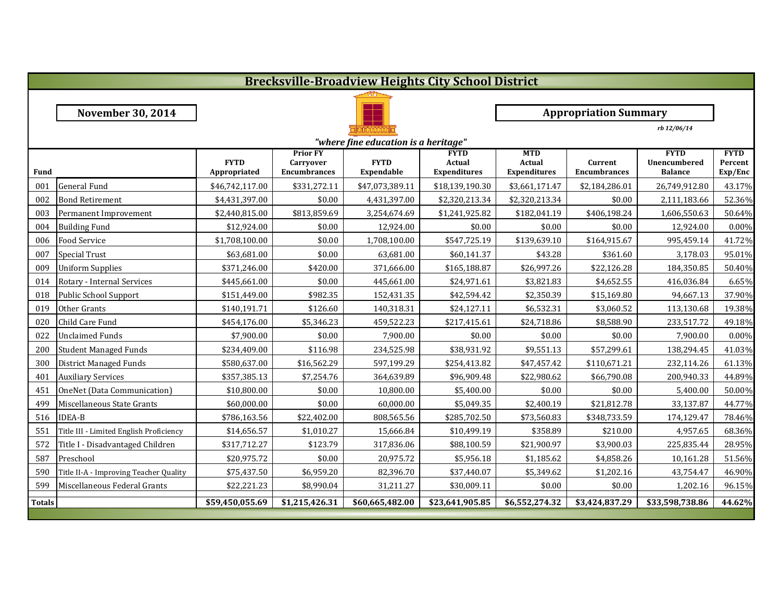|                                      | <b>Brecksville-Broadview Heights City School District</b> |                             |                                                     |                           |                                                     |                                                    |                                |                                               |                                   |  |  |
|--------------------------------------|-----------------------------------------------------------|-----------------------------|-----------------------------------------------------|---------------------------|-----------------------------------------------------|----------------------------------------------------|--------------------------------|-----------------------------------------------|-----------------------------------|--|--|
|                                      |                                                           |                             |                                                     |                           |                                                     |                                                    |                                |                                               |                                   |  |  |
|                                      | <b>November 30, 2014</b>                                  |                             |                                                     |                           |                                                     | <b>Appropriation Summary</b>                       |                                |                                               |                                   |  |  |
|                                      | rb 12/06/14                                               |                             |                                                     |                           |                                                     |                                                    |                                |                                               |                                   |  |  |
| "where fine education is a heritage" |                                                           |                             |                                                     |                           |                                                     |                                                    |                                |                                               |                                   |  |  |
| <b>Fund</b>                          |                                                           | <b>FYTD</b><br>Appropriated | <b>Prior FY</b><br>Carryover<br><b>Encumbrances</b> | <b>FYTD</b><br>Expendable | <b>FYTD</b><br><b>Actual</b><br><b>Expenditures</b> | <b>MTD</b><br><b>Actual</b><br><b>Expenditures</b> | Current<br><b>Encumbrances</b> | <b>FYTD</b><br>Unencumbered<br><b>Balance</b> | <b>FYTD</b><br>Percent<br>Exp/Enc |  |  |
| 001                                  | General Fund                                              | \$46,742,117.00             | \$331,272.11                                        | \$47,073,389.11           | \$18,139,190.30                                     | \$3,661,171.47                                     | \$2,184,286.01                 | 26,749,912.80                                 | 43.17%                            |  |  |
| 002                                  | <b>Bond Retirement</b>                                    | \$4,431,397.00              | \$0.00                                              | 4,431,397.00              | \$2,320,213.34                                      | \$2,320,213.34                                     | \$0.00                         | 2,111,183.66                                  | 52.36%                            |  |  |
| 003                                  | Permanent Improvement                                     | \$2,440,815.00              | \$813,859.69                                        | 3,254,674.69              | \$1,241,925.82                                      | \$182,041.19                                       | \$406,198.24                   | 1,606,550.63                                  | 50.64%                            |  |  |
| 004                                  | <b>Building Fund</b>                                      | \$12,924.00                 | \$0.00                                              | 12,924.00                 | \$0.00                                              | \$0.00                                             | \$0.00                         | 12,924.00                                     | 0.00%                             |  |  |
| 006                                  | <b>Food Service</b>                                       | \$1,708,100.00              | \$0.00                                              | 1,708,100.00              | \$547,725.19                                        | \$139,639.10                                       | \$164,915.67                   | 995,459.14                                    | 41.72%                            |  |  |
| 007                                  | <b>Special Trust</b>                                      | \$63,681.00                 | \$0.00                                              | 63,681.00                 | \$60,141.37                                         | \$43.28                                            | \$361.60                       | 3,178.03                                      | 95.01%                            |  |  |
| 009                                  | <b>Uniform Supplies</b>                                   | \$371,246.00                | \$420.00                                            | 371,666.00                | \$165,188.87                                        | \$26,997.26                                        | \$22,126.28                    | 184,350.85                                    | 50.40%                            |  |  |
| 014                                  | Rotary - Internal Services                                | \$445,661.00                | \$0.00                                              | 445,661.00                | \$24,971.61                                         | \$3,821.83                                         | \$4,652.55                     | 416,036.84                                    | 6.65%                             |  |  |
| 018                                  | Public School Support                                     | \$151,449.00                | \$982.35                                            | 152,431.35                | \$42,594.42                                         | \$2,350.39                                         | \$15,169.80                    | 94,667.13                                     | 37.90%                            |  |  |
| 019                                  | Other Grants                                              | \$140,191.71                | \$126.60                                            | 140,318.31                | \$24,127.11                                         | \$6,532.31                                         | \$3,060.52                     | 113,130.68                                    | 19.38%                            |  |  |
| 020                                  | Child Care Fund                                           | \$454,176.00                | \$5,346.23                                          | 459,522.23                | \$217,415.61                                        | \$24,718.86                                        | \$8,588.90                     | 233,517.72                                    | 49.18%                            |  |  |
| 022                                  | <b>Unclaimed Funds</b>                                    | \$7,900.00                  | \$0.00                                              | 7,900.00                  | \$0.00                                              | \$0.00                                             | \$0.00                         | 7,900.00                                      | 0.00%                             |  |  |
| 200                                  | <b>Student Managed Funds</b>                              | \$234,409.00                | \$116.98                                            | 234,525.98                | \$38,931.92                                         | \$9,551.13                                         | \$57,299.61                    | 138,294.45                                    | 41.03%                            |  |  |
| 300                                  | District Managed Funds                                    | \$580,637.00                | \$16,562.29                                         | 597,199.29                | \$254,413.82                                        | \$47,457.42                                        | \$110,671.21                   | 232,114.26                                    | 61.13%                            |  |  |
| 401                                  | <b>Auxiliary Services</b>                                 | \$357,385.13                | \$7,254.76                                          | 364,639.89                | \$96,909.48                                         | \$22,980.62                                        | \$66,790.08                    | 200,940.33                                    | 44.89%                            |  |  |
| 451                                  | OneNet (Data Communication)                               | \$10,800.00                 | \$0.00                                              | 10,800.00                 | \$5,400.00                                          | \$0.00                                             | \$0.00                         | 5,400.00                                      | 50.00%                            |  |  |
| 499                                  | Miscellaneous State Grants                                | \$60,000.00                 | \$0.00                                              | 60,000.00                 | \$5,049.35                                          | \$2,400.19                                         | \$21,812.78                    | 33,137.87                                     | 44.77%                            |  |  |
| 516                                  | <b>IDEA-B</b>                                             | \$786,163.56                | \$22,402.00                                         | 808,565.56                | \$285,702.50                                        | \$73,560.83                                        | \$348,733.59                   | 174,129.47                                    | 78.46%                            |  |  |
| 551                                  | Title III - Limited English Proficiency                   | \$14,656.57                 | \$1,010.27                                          | 15,666.84                 | \$10,499.19                                         | \$358.89                                           | \$210.00                       | 4,957.65                                      | 68.36%                            |  |  |
| 572                                  | Title I - Disadvantaged Children                          | \$317,712.27                | \$123.79                                            | 317,836.06                | \$88,100.59                                         | \$21,900.97                                        | \$3,900.03                     | 225,835.44                                    | 28.95%                            |  |  |
| 587                                  | Preschool                                                 | \$20,975.72                 | \$0.00                                              | 20,975.72                 | \$5,956.18                                          | \$1,185.62                                         | \$4,858.26                     | 10,161.28                                     | 51.56%                            |  |  |
| 590                                  | Title II-A - Improving Teacher Quality                    | \$75,437.50                 | \$6,959.20                                          | 82,396.70                 | \$37,440.07                                         | \$5,349.62                                         | \$1,202.16                     | 43,754.47                                     | 46.90%                            |  |  |
| 599                                  | Miscellaneous Federal Grants                              | \$22,221.23                 | \$8,990.04                                          | 31,211.27                 | \$30,009.11                                         | \$0.00                                             | \$0.00                         | 1,202.16                                      | 96.15%                            |  |  |
| <b>Totals</b>                        |                                                           | \$59,450,055.69             | \$1,215,426.31                                      | \$60,665,482.00           | \$23,641,905.85                                     | \$6,552,274.32                                     | \$3,424,837.29                 | \$33,598,738.86                               | 44.62%                            |  |  |